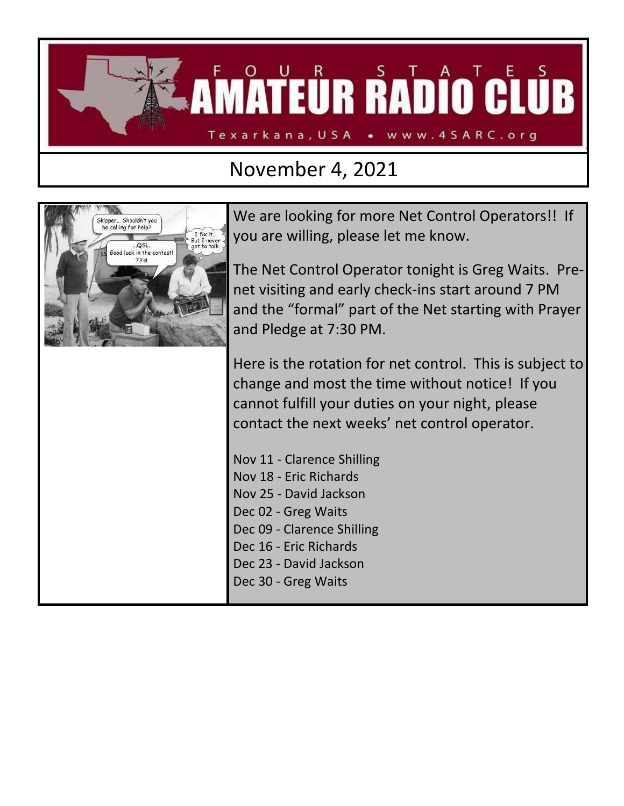

## November 4, 2021



We are looking for more Net Control Operators!! If you are willing, please let me know.

The Net Control Operator tonight is Greg Waits. Prenet visiting and early check-ins start around 7 PM and the "formal" part of the Net starting with Prayer and Pledge at 7:30 PM.

Here is the rotation for net control. This is subject to change and most the time without notice! If you cannot fulfill your duties on your night, please contact the next weeks' net control operator.

Nov 11 - Clarence Shilling Nov 18 - Eric Richards Nov 25 - David Jackson Dec 02 - Greg Waits Dec 09 - Clarence Shilling Dec 16 - Eric Richards Dec 23 - David Jackson Dec 30 - Greg Waits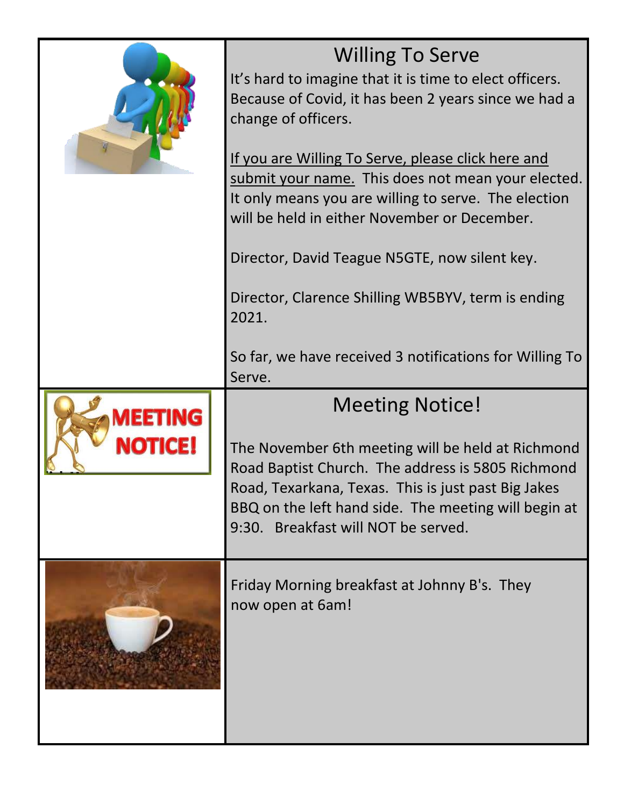|                           | <b>Willing To Serve</b><br>It's hard to imagine that it is time to elect officers.<br>Because of Covid, it has been 2 years since we had a<br>change of officers.<br>If you are Willing To Serve, please click here and<br>submit your name. This does not mean your elected.<br>It only means you are willing to serve. The election<br>will be held in either November or December.<br>Director, David Teague N5GTE, now silent key. |  |  |  |  |
|---------------------------|----------------------------------------------------------------------------------------------------------------------------------------------------------------------------------------------------------------------------------------------------------------------------------------------------------------------------------------------------------------------------------------------------------------------------------------|--|--|--|--|
|                           | Director, Clarence Shilling WB5BYV, term is ending<br>2021.<br>So far, we have received 3 notifications for Willing To<br>Serve.                                                                                                                                                                                                                                                                                                       |  |  |  |  |
| <b>MEETING</b><br>NOTICE! | <b>Meeting Notice!</b><br>The November 6th meeting will be held at Richmond<br>Road Baptist Church. The address is 5805 Richmond<br>Road, Texarkana, Texas. This is just past Big Jakes<br>BBQ on the left hand side. The meeting will begin at<br>9:30. Breakfast will NOT be served.                                                                                                                                                 |  |  |  |  |
|                           | Friday Morning breakfast at Johnny B's. They<br>now open at 6am!                                                                                                                                                                                                                                                                                                                                                                       |  |  |  |  |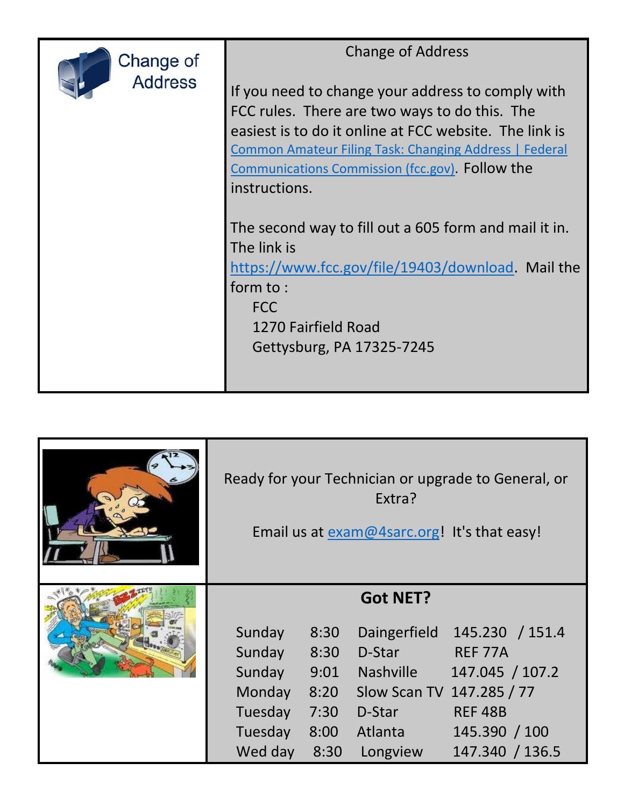| Change of<br><b>Address</b> | <b>Change of Address</b><br>If you need to change your address to comply with<br>FCC rules. There are two ways to do this. The<br>easiest is to do it online at FCC website. The link is<br><b>Common Amateur Filing Task: Changing Address   Federal</b><br>Communications Commission (fcc.gov). Follow the<br>instructions. |  |  |
|-----------------------------|-------------------------------------------------------------------------------------------------------------------------------------------------------------------------------------------------------------------------------------------------------------------------------------------------------------------------------|--|--|
|                             | The second way to fill out a 605 form and mail it in.<br>The link is<br>https://www.fcc.gov/file/19403/download. Mail the<br>form to:<br><b>FCC</b><br>1270 Fairfield Road<br>Gettysburg, PA 17325-7245                                                                                                                       |  |  |

|  | Ready for your Technician or upgrade to General, or<br>Extra?<br>Email us at exam@4sarc.org! It's that easy! |      |                           |                 |  |
|--|--------------------------------------------------------------------------------------------------------------|------|---------------------------|-----------------|--|
|  | <b>Got NET?</b>                                                                                              |      |                           |                 |  |
|  | Sunday                                                                                                       | 8:30 | Daingerfield              | 145.230 / 151.4 |  |
|  | Sunday                                                                                                       | 8:30 | D-Star                    | REF 77A         |  |
|  | Sunday                                                                                                       | 9:01 | Nashville                 | 147.045 / 107.2 |  |
|  | Monday                                                                                                       | 8:20 | Slow Scan TV 147.285 / 77 |                 |  |
|  | Tuesday                                                                                                      | 7:30 | D-Star                    | <b>REF 48B</b>  |  |
|  | Tuesday                                                                                                      | 8:00 | Atlanta                   | 145.390 / 100   |  |
|  | Wed day                                                                                                      | 8:30 | Longview                  | 147.340 / 136.5 |  |